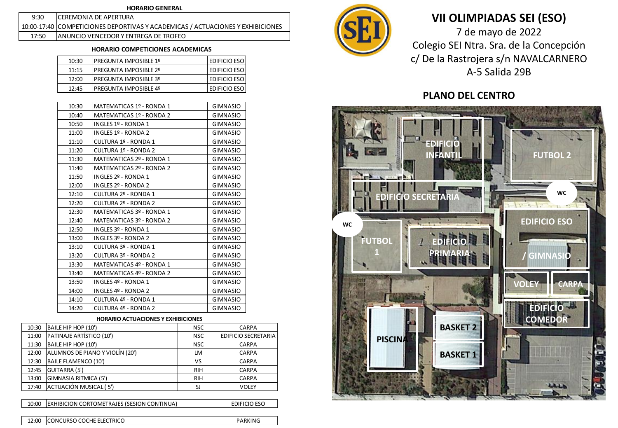### **HORARIO GENERAL**

| 9:30  | <b>ICEREMONIA DE APERTURA</b>                                                  |
|-------|--------------------------------------------------------------------------------|
|       | 10:00-17:40 COMPETICIONES DEPORTIVAS Y ACADEMICAS / ACTUACIONES Y EXHIBICIONES |
| 17:50 | <b>JANUNCIO VENCEDOR Y ENTREGA DE TROFEO</b>                                   |

## **HORARIO COMPETICIONES ACADEMICAS**

| 10:30 | <b>IPREGUNTA IMPOSIBLE 1º</b> | <b>EDIFICIO ESO</b> |
|-------|-------------------------------|---------------------|
| 11:15 | <b>IPREGUNTA IMPOSIBLE 2º</b> | <b>EDIFICIO ESO</b> |
| 12:00 | <b>PREGUNTA IMPOSIBLE 3º</b>  | <b>EDIFICIO ESO</b> |
| 12:45 | <b>PREGUNTA IMPOSIBLE 4º</b>  | I EDIFICIO ESO      |

| 10:30 | MATEMATICAS 1º - RONDA 1 | <b>GIMNASIO</b> |
|-------|--------------------------|-----------------|
| 10:40 | MATEMATICAS 1º - RONDA 2 | <b>GIMNASIO</b> |
| 10:50 | INGLES 1º - RONDA 1      | <b>GIMNASIO</b> |
| 11:00 | INGLES 1º - RONDA 2      | <b>GIMNASIO</b> |
| 11:10 | CULTURA 1º - RONDA 1     | <b>GIMNASIO</b> |
| 11:20 | CULTURA 1º - RONDA 2     | <b>GIMNASIO</b> |
| 11:30 | MATEMATICAS 2º - RONDA 1 | <b>GIMNASIO</b> |
| 11:40 | MATEMATICAS 2º - RONDA 2 | <b>GIMNASIO</b> |
| 11:50 | INGLES 2º - RONDA 1      | GIMNASIO        |
| 12:00 | INGLES 2º - RONDA 2      | <b>GIMNASIO</b> |
| 12:10 | CULTURA 2º - RONDA 1     | <b>GIMNASIO</b> |
| 12:20 | CULTURA 2º - RONDA 2     | <b>GIMNASIO</b> |
| 12:30 | MATEMATICAS 3º - RONDA 1 | <b>GIMNASIO</b> |
| 12:40 | MATEMATICAS 3º - RONDA 2 | <b>GIMNASIO</b> |
| 12:50 | INGLES 3º - RONDA 1      | <b>GIMNASIO</b> |
| 13:00 | INGLES 3º - RONDA 2      | GIMNASIO        |
| 13:10 | CULTURA 3º - RONDA 1     | <b>GIMNASIO</b> |
| 13:20 | CULTURA 3º - RONDA 2     | <b>GIMNASIO</b> |
| 13:30 | MATEMATICAS 4º - RONDA 1 | <b>GIMNASIO</b> |
| 13:40 | MATEMATICAS 4º - RONDA 2 | GIMNASIO        |
| 13:50 | INGLES 4º - RONDA 1      | <b>GIMNASIO</b> |
| 14:00 | INGLES 4º - RONDA 2      | <b>GIMNASIO</b> |
| 14:10 | CULTURA 4º - RONDA 1     | <b>GIMNASIO</b> |
| 14:20 | CULTURA 4º - RONDA 2     | <b>GIMNASIO</b> |

### **HORARIO ACTUACIONES Y EXHIBICIONES**

| 10:30 | BAILE HIP HOP (10')             | <b>NSC</b> | <b>CARPA</b>               |
|-------|---------------------------------|------------|----------------------------|
| 11:00 | PATINAJE ARTÍSTICO (10')        | <b>NSC</b> | <b>EDIFICIO SECRETARIA</b> |
| 11:30 | BAILE HIP HOP (10')             | <b>NSC</b> | <b>CARPA</b>               |
| 12:00 | ALUMNOS DE PIANO Y VIOLÍN (20') | LM         | <b>CARPA</b>               |
| 12:30 | BAILE FLAMENCO (10')            | VS         | <b>CARPA</b>               |
| 12:45 | <b>GUITARRA (5')</b>            | <b>RIH</b> | <b>CARPA</b>               |
| 13:00 | GIMNASIA RITMICA (5')           | <b>RIH</b> | CARPA                      |
| 17:40 | ACTUACIÓN MUSICAL (5')          | SJ         | <b>VOLEY</b>               |
|       |                                 |            |                            |

| 10:00 | <b>EXHIBICION CORTOMETRAJES (SESION CONTINUA)</b> | <b>EDIFICIO ESO</b> |
|-------|---------------------------------------------------|---------------------|
|       |                                                   |                     |
|       | 12:00 CONCURSO COCHE ELECTRICO                    | PARKING             |



# **VII OLIMPIADAS SEI (ESO)**

7 de mayo de 2022 Colegio SEI Ntra. Sra. de la Concepción c/ De la Rastrojera s/n NAVALCARNERO A-5 Salida 29B

## **PLANO DEL CENTRO**